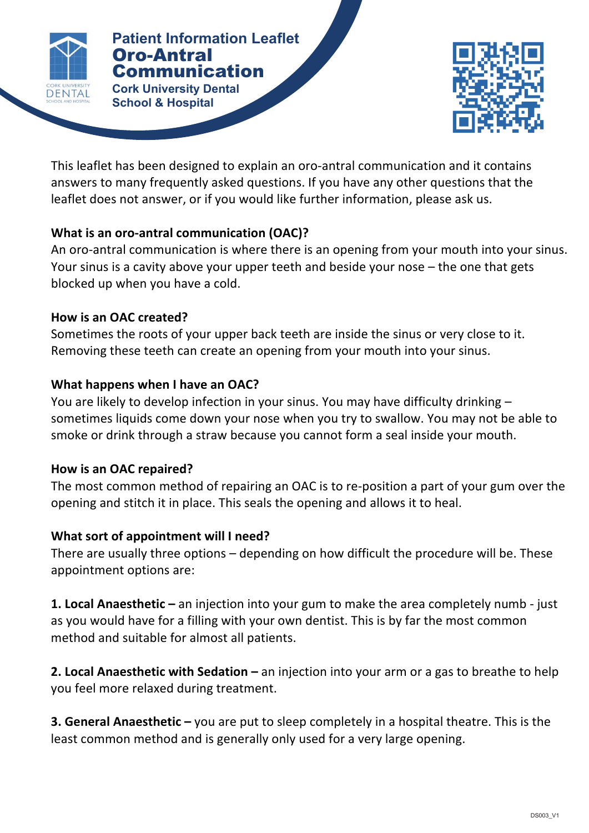

**Patient Patient Information Leaflet** Oro-Antral Communication **Cork University Dental** 

This leaflet has been designed to explain an oro-antral communication and it contains answers to many frequently asked questions. If you have any other questions that the leaflet does not answer, or if you would like further information, please ask us.

**COMMUNICATION** 

# **What is an oro-antral communication (OAC)?**

**School & Hospital**

An oro-antral communication is where there is an opening from your mouth into your sinus. Your sinus is a cavity above your upper teeth and beside your nose  $-$  the one that gets blocked up when you have a cold.

### **How is an OAC created?**

Sometimes the roots of your upper back teeth are inside the sinus or very close to it. Removing these teeth can create an opening from your mouth into your sinus.

# **What happens when I have an OAC?**

You are likely to develop infection in your sinus. You may have difficulty drinking sometimes liquids come down your nose when you try to swallow. You may not be able to smoke or drink through a straw because you cannot form a seal inside your mouth.

# **How is an OAC repaired?**

The most common method of repairing an OAC is to re-position a part of your gum over the opening and stitch it in place. This seals the opening and allows it to heal.

# **What sort of appointment will I need?**

There are usually three options  $-$  depending on how difficult the procedure will be. These appointment options are:

**1. Local Anaesthetic** – an injection into your gum to make the area completely numb - just as you would have for a filling with your own dentist. This is by far the most common method and suitable for almost all patients.

**2. Local Anaesthetic with Sedation –** an injection into your arm or a gas to breathe to help you feel more relaxed during treatment.

**3. General Anaesthetic** – you are put to sleep completely in a hospital theatre. This is the least common method and is generally only used for a very large opening.